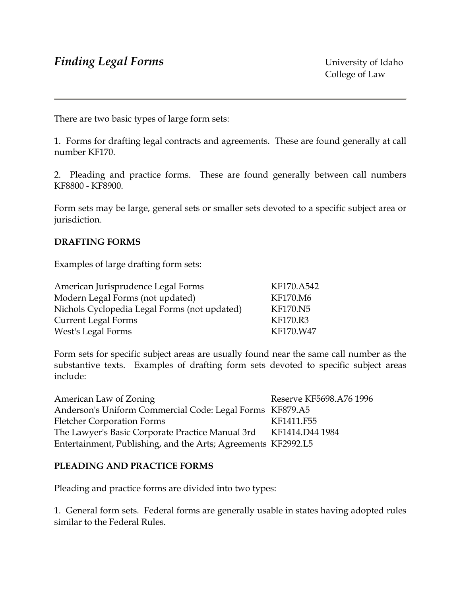There are two basic types of large form sets:

1. Forms for drafting legal contracts and agreements. These are found generally at call number KF170.

2. Pleading and practice forms. These are found generally between call numbers KF8800 - KF8900.

Form sets may be large, general sets or smaller sets devoted to a specific subject area or jurisdiction.

# **DRAFTING FORMS**

Examples of large drafting form sets:

| American Jurisprudence Legal Forms           | KF170.A542      |
|----------------------------------------------|-----------------|
| Modern Legal Forms (not updated)             | KF170.M6        |
| Nichols Cyclopedia Legal Forms (not updated) | <b>KF170.N5</b> |
| <b>Current Legal Forms</b>                   | KF170.R3        |
| West's Legal Forms                           | KF170.W47       |

Form sets for specific subject areas are usually found near the same call number as the substantive texts. Examples of drafting form sets devoted to specific subject areas include:

| American Law of Zoning                                           | Reserve KF5698.A76 1996 |
|------------------------------------------------------------------|-------------------------|
| Anderson's Uniform Commercial Code: Legal Forms KF879.A5         |                         |
| <b>Fletcher Corporation Forms</b>                                | KF1411.F55              |
| The Lawyer's Basic Corporate Practice Manual 3rd KF1414.D44 1984 |                         |
| Entertainment, Publishing, and the Arts; Agreements KF2992.L5    |                         |

## **PLEADING AND PRACTICE FORMS**

Pleading and practice forms are divided into two types:

1. General form sets. Federal forms are generally usable in states having adopted rules similar to the Federal Rules.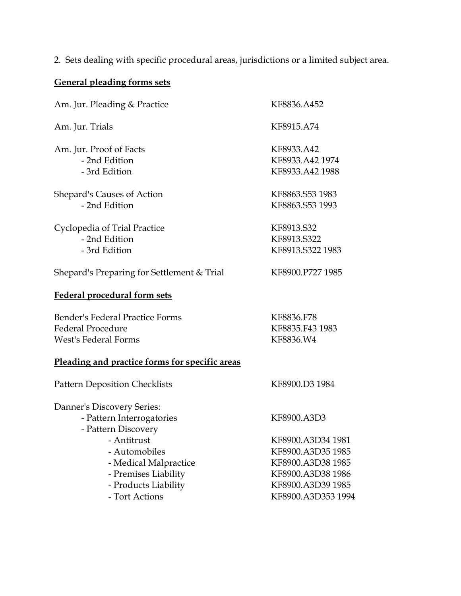2. Sets dealing with specific procedural areas, jurisdictions or a limited subject area.

# **General pleading forms sets**

| Am. Jur. Pleading & Practice                   | KF8836.A452        |
|------------------------------------------------|--------------------|
| Am. Jur. Trials                                | KF8915.A74         |
| Am. Jur. Proof of Facts                        | KF8933.A42         |
| - 2nd Edition                                  | KF8933.A42 1974    |
| - 3rd Edition                                  | KF8933.A42 1988    |
| <b>Shepard's Causes of Action</b>              | KF8863.S53 1983    |
| - 2nd Edition                                  | KF8863.S53 1993    |
| Cyclopedia of Trial Practice                   | KF8913.S32         |
| - 2nd Edition                                  | KF8913.S322        |
| - 3rd Edition                                  | KF8913.S322 1983   |
| Shepard's Preparing for Settlement & Trial     | KF8900.P727 1985   |
| <b>Federal procedural form sets</b>            |                    |
| Bender's Federal Practice Forms                | KF8836.F78         |
| <b>Federal Procedure</b>                       | KF8835.F43 1983    |
| <b>West's Federal Forms</b>                    | KF8836.W4          |
| Pleading and practice forms for specific areas |                    |
| <b>Pattern Deposition Checklists</b>           | KF8900.D3 1984     |
| Danner's Discovery Series:                     |                    |
| - Pattern Interrogatories                      | KF8900.A3D3        |
| - Pattern Discovery                            |                    |
| - Antitrust                                    | KF8900.A3D34 1981  |
| - Automobiles                                  | KF8900.A3D35 1985  |
| - Medical Malpractice                          | KF8900.A3D38 1985  |
| - Premises Liability                           | KF8900.A3D38 1986  |
| - Products Liability                           | KF8900.A3D39 1985  |
| - Tort Actions                                 | KF8900.A3D353 1994 |
|                                                |                    |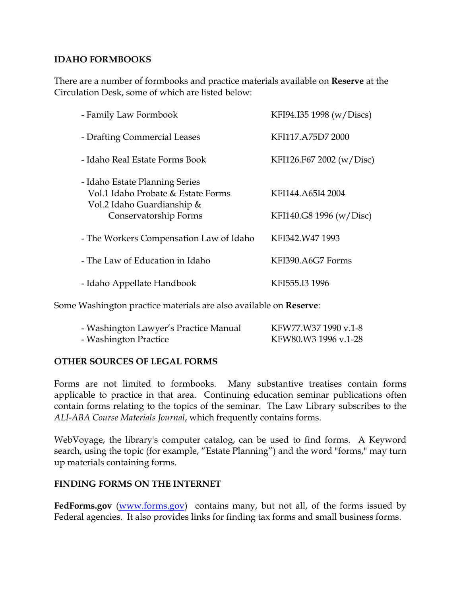# **IDAHO FORMBOOKS**

There are a number of formbooks and practice materials available on **Reserve** at the Circulation Desk, some of which are listed below:

| - Family Law Formbook                                                                              | KFI94.I35 1998 (w/Discs) |
|----------------------------------------------------------------------------------------------------|--------------------------|
| - Drafting Commercial Leases                                                                       | KFI117.A75D7 2000        |
| - Idaho Real Estate Forms Book                                                                     | KFI126.F67 2002 (w/Disc) |
| - Idaho Estate Planning Series<br>Vol.1 Idaho Probate & Estate Forms<br>Vol.2 Idaho Guardianship & | KFI144.A65I4 2004        |
| Conservatorship Forms                                                                              | KFI140.G8 1996 (w/Disc)  |
| - The Workers Compensation Law of Idaho                                                            | KFI342.W47 1993          |
| - The Law of Education in Idaho                                                                    | KFI390.A6G7 Forms        |
| - Idaho Appellate Handbook                                                                         | KFI555.I3 1996           |

Some Washington practice materials are also available on **Reserve**:

| - Washington Lawyer's Practice Manual | KFW77.W37 1990 v.1-8 |
|---------------------------------------|----------------------|
| - Washington Practice                 | KFW80.W3 1996 v.1-28 |

## **OTHER SOURCES OF LEGAL FORMS**

Forms are not limited to formbooks. Many substantive treatises contain forms applicable to practice in that area. Continuing education seminar publications often contain forms relating to the topics of the seminar. The Law Library subscribes to the *ALI-ABA Course Materials Journal*, which frequently contains forms.

WebVoyage, the library's computer catalog, can be used to find forms. A Keyword search, using the topic (for example, "Estate Planning") and the word "forms," may turn up materials containing forms.

## **FINDING FORMS ON THE INTERNET**

**FedForms.gov** (www.forms.gov) contains many, but not all, of the forms issued by Federal agencies. It also provides links for finding tax forms and small business forms.